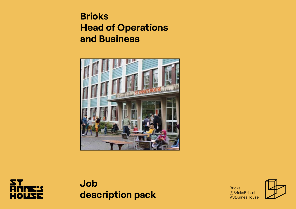# **Bricks Head of Operations and Business**





# **Job description pack**

Bricks @BricksBristol #StAnnesHouse

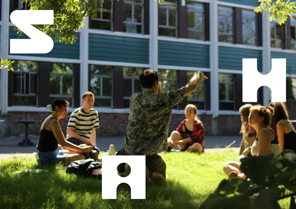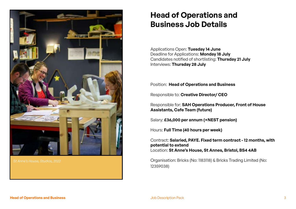

# **Head of Operations and Business Job Details**

Applications Open: **Tuesday 14 June**  Deadline for Applications: **Monday 18 July**  Candidates notified of shortlisting: **Thursday 21 July** Interviews: **Thursday 28 July** 

Position: **Head of Operations and Business**

Responsible to: **Creative Director/ CEO**

Responsible for: **SAH Operations Producer, Front of House Assistants, Cafe Team (future)**

Salary: **£36,000 per annum (+NEST pension)**

Hours: **Full Time (40 hours per week)**

Contract: **Salaried, PAYE. Fixed term contract - 12 months, with potential to extend** Location: **St Anne's House, St Annes, Bristol, BS4 4AB**

Organisation: Bricks (No: 1183118) & Bricks Trading Limited (No: 12359038)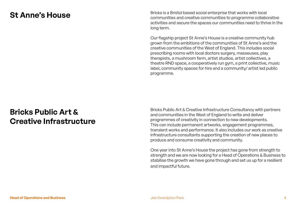**St Anne's House**<br> **St Anne's House** Bricks is a Bristol based social enterprise that works with local communities and creative communities to programme collaborative activities and secure the spaces our communities need to thrive in the long term.

> Our flagship project St Anne's House is a creative community hub grown from the ambitions of the communities of St Anne's and the creative communities of the West of England. This includes social prescribing rooms with local doctors surgery, masseuses, play therapists, a mushroom farm, artist studios, artist collectives, a theatre RND space, a cooperatively run gym, a print collective, music label, community spaces for hire and a community/ artist led public programme.

# **Bricks Public Art & Creative Infrastructure**

Bricks Public Art & Creative Infrastructure Consultancy with partners and communities in the West of England to write and deliver programmes of creativity in connection to new developments. This can include permanent artworks, engagement programmes, transient works and performance. It also includes our work as creative infrastructure consultants supporting the creation of new places to produce and consume creativity and community.

One year into St Anne's House the project has gone from strength to strength and we are now looking for a Head of Operations & Business to stabilise the growth we have gone through and set us up for a resilient and impactful future.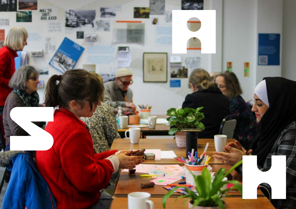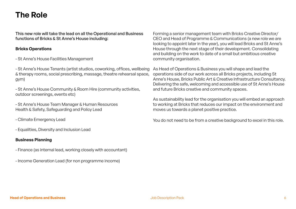# **The Role**

This new role will take the lead on all the Operational and Business functions of Bricks & St Anne's House including:

### **Bricks Operations**

- St Anne's House Facilities Management

- St Anne's House Tenants (artist studios, coworking, offices, wellbeing & therapy rooms, social prescribing, massage, theatre rehearsal space, gym)

- St Anne's House Community & Room Hire (community activities, outdoor screenings, events etc)

- St Anne's House Team Manager & Human Resources Health & Safety, Safeguarding and Policy Lead

- Climate Emergency Lead
- Equalities, Diversity and Inclusion Lead

### **Business Planning**

- Finance (as internal lead, working closely with accountant)
- Income Generation Lead (for non programme income)

Forming a senior management team with Bricks Creative Director/ CEO and Head of Programme & Communications (a new role we are looking to appoint later in the year), you will lead Bricks and St Anne's House through the next stage of their development. Consolidating and building on the work to date of a small but ambitious creative community organisation.

As Head of Operations & Business you will shape and lead the operations side of our work across all Bricks projects, including St Anne's House, Bricks Public Art & Creative Infrastructure Consultancy. Delivering the safe, welcoming and accessible use of St Anne's House and future Bricks creative and community spaces.

As sustainability lead for the organisation you will embed an approach to working at Bricks that reduces our impact on the environment and moves us towards a planet positive practice.

You do not need to be from a creative background to excel in this role.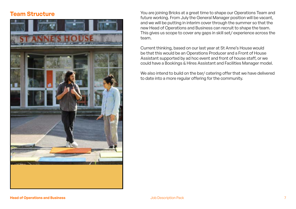

**Team Structure Team Structure Team** and **Team** Structure of the state of  $\mathbf{S}$  are joining Bricks at a great time to shape our Operations Team and future working. From July the General Manager position will be vacant, and we will be putting in interim cover through the summer so that the new Head of Operations and Business can recruit to shape the team. This gives us scope to cover any gaps in skill set/ experience across the team.

> Current thinking, based on our last year at St Anne's House would be that this would be an Operations Producer and a Front of House Assistant supported by ad hoc event and front of house staff, or we could have a Bookings & Hires Assistant and Facilities Manager model.

We also intend to build on the bar/ catering offer that we have delivered to date into a more regular offering for the community.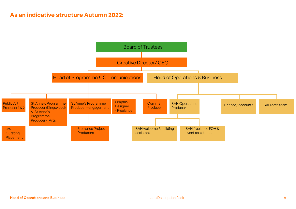## **As an indicative structure Autumn 2022:**

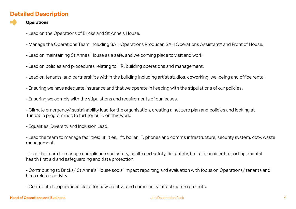# **Detailed Description**

## **Operations**

- Lead on the Operations of Bricks and St Anne's House.
- Manage the Operations Team including SAH Operations Producer, SAH Operations Assistant\* and Front of House.
- Lead on maintaining St Annes House as a safe, and welcoming place to visit and work.
- Lead on policies and procedures relating to HR, building operations and management.
- Lead on tenants, and partnerships within the building including artist studios, coworking, wellbeing and office rental.
- Ensuring we have adequate insurance and that we operate in keeping with the stipulations of our policies.
- Ensuring we comply with the stipulations and requirements of our leases.
- Climate emergency/ sustainability lead for the organisation, creating a net zero plan and policies and looking at fundable programmes to further build on this work.
- Equalities, Diversity and Inclusion Lead.
- Lead the team to manage facilities; utilities, lift, boiler, IT, phones and comms infrastructure, security system, cctv, waste management.
- Lead the team to manage compliance and safety, health and safety, fire safety, first aid, accident reporting, mental health first aid and safeguarding and data protection.
- Contributing to Bricks/ St Anne's House social impact reporting and evaluation with focus on Operations/ tenants and hires related activity.
- Contribute to operations plans for new creative and community infrastructure projects.

### **Head of Operations and Business Contract Contract Contract Contract Contract Contract Contract Contract Contract Contract Contract Contract Contract Contract Contract Contract Contract Contract Contract Contract Contrac**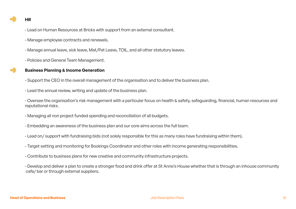## **HR**

- Lead on Human Resources at Bricks with support from an external consultant.

- Manage employee contracts and renewals.
- Manage annual leave, sick leave, Mat/Pat Leave, TOIL, and all other statutory leaves.
- Policies and General Team Management.

### **Business Planning & Income Generation**

- Support the CEO in the overall management of the organisation and to deliver the business plan.
- Lead the annual review, writing and update of the business plan.
- Oversee the organisation's risk management with a particular focus on health & safety, safeguarding, financial, human resources and reputational risks.
- Managing all non project funded spending and reconciliation of all budgets.
- Embedding an awareness of the business plan and our core aims across the full team.
- Lead on/ support with fundraising bids (not solely responsible for this as many roles have fundraising within them).
- Target setting and monitoring for Bookings Coordinator and other roles with income generating responsibilities.
- Contribute to business plans for new creative and community infrastructure projects.
- Develop and deliver a plan to create a stronger food and drink offer at St Anne's House whether that is through an inhouse community cafe/ bar or through external suppliers.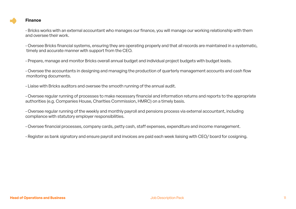

- Bricks works with an external accountant who manages our finance, you will manage our working relationship with them and oversee their work.

- Oversee Bricks financial systems, ensuring they are operating properly and that all records are maintained in a systematic, timely and accurate manner with support from the CEO.

- Prepare, manage and monitor Bricks overall annual budget and individual project budgets with budget leads.

- Oversee the accountants in designing and managing the production of quarterly management accounts and cash flow monitoring documents.

- Liaise with Bricks auditors and oversee the smooth running of the annual audit.

- Oversee regular running of processes to make necessary financial and information returns and reports to the appropriate authorities (e.g. Companies House, Charities Commission, HMRC) on a timely basis.

- Oversee regular running of the weekly and monthly payroll and pensions process via external accountant, including compliance with statutory employer responsibilities.

- Oversee financial processes, company cards, petty cash, staff expenses, expenditure and income management.

- Register as bank signatory and ensure payroll and invoices are paid each week liaising with CEO/ board for cosigning.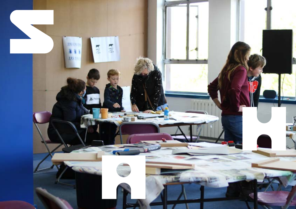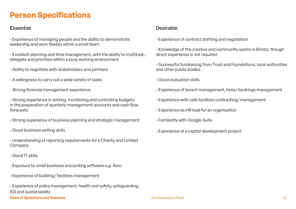# **Person Specifications**

## Essential

- Experience of managing people and the ability to demonstrate leadership and work flexibly within a small team
- Excellent planning and time management, with the ability to multitask, delegate and prioritise within a busy working environment
- Ability to negotiate with stakeholders and partners
- A willingness to carry out a wide variety of tasks
- Strong financial management experience
- Strong experience in setting, monitoring and controlling budgets in the preparation of quarterly management accounts and cash flow forecasts
- Strong experience of business planning and strategic management
- Good business writing skills
- Understanding of reporting requirements for a Charity and Limited **Company**
- Good IT skills
- Exposure to small business accounting software e.g. Xero
- Experience of building/ facilities management
- Experience of policy management, health and safety, safeguarding, EDI and sustainability
- **Head of Operations and Business** Job Description Pack 13

## Desirable

- Experience of contract drafting and negotiation
- Knowledge of the creative and community sector in Bristol, though direct experience is not required
- Successful fundraising from Trust and Foundations, local authorities and other public bodies
- Good evaluation skills
- Experience of tenant management, hires/ bookings management
- Experience with cafe facilities contracting/ management
- Experience as HR lead for an organisation
- Familiarity with Google Suite
- Experience of a capital development project